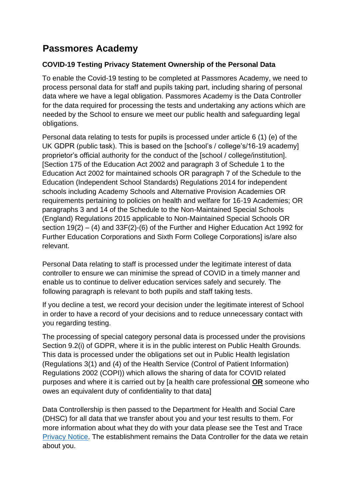# **Passmores Academy**

# **COVID-19 Testing Privacy Statement Ownership of the Personal Data**

To enable the Covid-19 testing to be completed at Passmores Academy, we need to process personal data for staff and pupils taking part, including sharing of personal data where we have a legal obligation. Passmores Academy is the Data Controller for the data required for processing the tests and undertaking any actions which are needed by the School to ensure we meet our public health and safeguarding legal obligations.

Personal data relating to tests for pupils is processed under article 6 (1) (e) of the UK GDPR (public task). This is based on the [school's / college's/16-19 academy] proprietor's official authority for the conduct of the [school / college/institution]. [Section 175 of the Education Act 2002 and paragraph 3 of Schedule 1 to the Education Act 2002 for maintained schools OR paragraph 7 of the Schedule to the Education (Independent School Standards) Regulations 2014 for independent schools including Academy Schools and Alternative Provision Academies OR requirements pertaining to policies on health and welfare for 16-19 Academies; OR paragraphs 3 and 14 of the Schedule to the Non-Maintained Special Schools (England) Regulations 2015 applicable to Non-Maintained Special Schools OR section 19(2) – (4) and 33F(2)-(6) of the Further and Higher Education Act 1992 for Further Education Corporations and Sixth Form College Corporations] is/are also relevant.

Personal Data relating to staff is processed under the legitimate interest of data controller to ensure we can minimise the spread of COVID in a timely manner and enable us to continue to deliver education services safely and securely. The following paragraph is relevant to both pupils and staff taking tests.

If you decline a test, we record your decision under the legitimate interest of School in order to have a record of your decisions and to reduce unnecessary contact with you regarding testing.

The processing of special category personal data is processed under the provisions Section 9.2(i) of GDPR, where it is in the public interest on Public Health Grounds. This data is processed under the obligations set out in Public Health legislation (Regulations 3(1) and (4) of the Health Service (Control of Patient Information) Regulations 2002 (COPI)) which allows the sharing of data for COVID related purposes and where it is carried out by [a health care professional **OR** someone who owes an equivalent duty of confidentiality to that data]

Data Controllership is then passed to the Department for Health and Social Care (DHSC) for all data that we transfer about you and your test results to them. For more information about what they do with your data please see the Test and Trace [Privacy Notice.](https://contact-tracing.phe.gov.uk/help/privacy-notice) The establishment remains the Data Controller for the data we retain about you.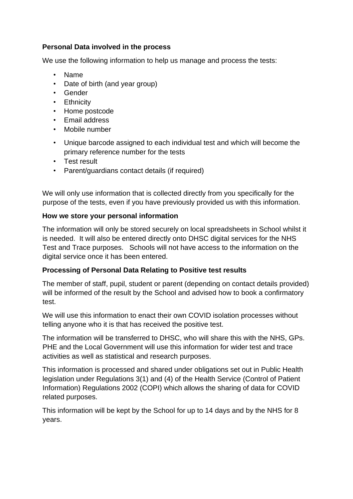### **Personal Data involved in the process**

We use the following information to help us manage and process the tests:

- Name
- Date of birth (and year group)
- Gender
- Ethnicity
- Home postcode
- Email address
- Mobile number
- Unique barcode assigned to each individual test and which will become the primary reference number for the tests
- Test result
- Parent/guardians contact details (if required)

We will only use information that is collected directly from you specifically for the purpose of the tests, even if you have previously provided us with this information.

### **How we store your personal information**

The information will only be stored securely on local spreadsheets in School whilst it is needed. It will also be entered directly onto DHSC digital services for the NHS Test and Trace purposes. Schools will not have access to the information on the digital service once it has been entered.

#### **Processing of Personal Data Relating to Positive test results**

The member of staff, pupil, student or parent (depending on contact details provided) will be informed of the result by the School and advised how to book a confirmatory test.

We will use this information to enact their own COVID isolation processes without telling anyone who it is that has received the positive test.

The information will be transferred to DHSC, who will share this with the NHS, GPs. PHE and the Local Government will use this information for wider test and trace activities as well as statistical and research purposes.

This information is processed and shared under obligations set out in Public Health legislation under Regulations 3(1) and (4) of the Health Service (Control of Patient Information) Regulations 2002 (COPI) which allows the sharing of data for COVID related purposes.

This information will be kept by the School for up to 14 days and by the NHS for 8 years.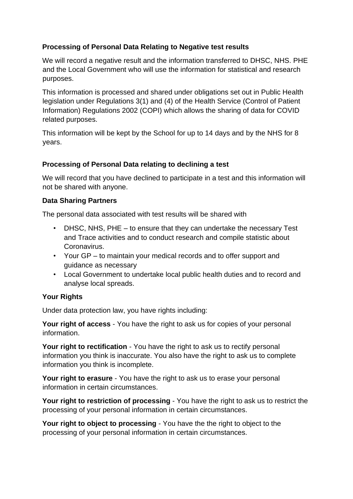### **Processing of Personal Data Relating to Negative test results**

We will record a negative result and the information transferred to DHSC, NHS. PHE and the Local Government who will use the information for statistical and research purposes.

This information is processed and shared under obligations set out in Public Health legislation under Regulations 3(1) and (4) of the Health Service (Control of Patient Information) Regulations 2002 (COPI) which allows the sharing of data for COVID related purposes.

This information will be kept by the School for up to 14 days and by the NHS for 8 years.

#### **Processing of Personal Data relating to declining a test**

We will record that you have declined to participate in a test and this information will not be shared with anyone.

### **Data Sharing Partners**

The personal data associated with test results will be shared with

- DHSC, NHS, PHE to ensure that they can undertake the necessary Test and Trace activities and to conduct research and compile statistic about Coronavirus.
- Your GP to maintain your medical records and to offer support and guidance as necessary
- Local Government to undertake local public health duties and to record and analyse local spreads.

## **Your Rights**

Under data protection law, you have rights including:

**Your right of access** - You have the right to ask us for copies of your personal information.

**Your right to rectification** - You have the right to ask us to rectify personal information you think is inaccurate. You also have the right to ask us to complete information you think is incomplete.

**Your right to erasure** - You have the right to ask us to erase your personal information in certain circumstances.

**Your right to restriction of processing** - You have the right to ask us to restrict the processing of your personal information in certain circumstances.

**Your right to object to processing** - You have the the right to object to the processing of your personal information in certain circumstances.